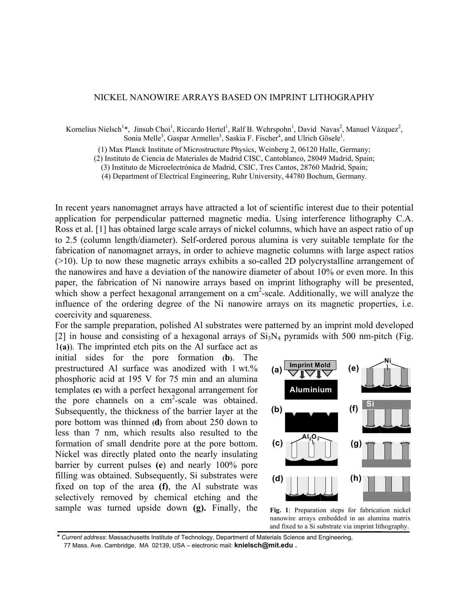## NICKEL NANOWIRE ARRAYS BASED ON IMPRINT LITHOGRAPHY

Kornelius Nielsch<sup>1</sup>\*, Jinsub Choi<sup>1</sup>, Riccardo Hertel<sup>1</sup>, Ralf B. Wehrspohn<sup>1</sup>, David Navas<sup>2</sup>, Manuel Vázquez<sup>2</sup>, Sonia Melle<sup>3</sup>, Gaspar Armelles<sup>3</sup>, Saskia F. Fischer<sup>4</sup>, and Ulrich Gösele<sup>1</sup>.

(1) Max Planck Institute of Microstructure Physics, Weinberg 2, 06120 Halle, Germany;

(2) Instituto de Ciencia de Materiales de Madrid CISC, Cantoblanco, 28049 Madrid, Spain;

(3) Instituto de Microelectrónica de Madrid, CSIC, Tres Cantos, 28760 Madrid, Spain;

(4) Department of Electrical Engineering, Ruhr University, 44780 Bochum, Germany.

In recent years nanomagnet arrays have attracted a lot of scientific interest due to their potential application for perpendicular patterned magnetic media. Using interference lithography C.A. Ross et al. [1] has obtained large scale arrays of nickel columns, which have an aspect ratio of up to 2.5 (column length/diameter). Self-ordered porous alumina is very suitable template for the fabrication of nanomagnet arrays, in order to achieve magnetic columns with large aspect ratios (>10). Up to now these magnetic arrays exhibits a so-called 2D polycrystalline arrangement of the nanowires and have a deviation of the nanowire diameter of about 10% or even more. In this paper, the fabrication of Ni nanowire arrays based on imprint lithography will be presented, which show a perfect hexagonal arrangement on a  $cm<sup>2</sup>$ -scale. Additionally, we will analyze the influence of the ordering degree of the Ni nanowire arrays on its magnetic properties, i.e. coercivity and squareness.

For the sample preparation, polished Al substrates were patterned by an imprint mold developed [2] in house and consisting of a hexagonal arrays of  $Si<sub>3</sub>N<sub>4</sub>$  pyramids with 500 nm-pitch (Fig. 1**(a)**). The imprinted etch pits on the Al surface act as

initial sides for the pore formation **(b)**. The prestructured Al surface was anodized with 1 wt.% phosphoric acid at 195 V for 75 min and an alumina templates **(c)** with a perfect hexagonal arrangement for the pore channels on a cm<sup>2</sup>-scale was obtained. Subsequently, the thickness of the barrier layer at the pore bottom was thinned **(d)** from about 250 down to less than 7 nm, which results also resulted to the formation of small dendrite pore at the pore bottom. Nickel was directly plated onto the nearly insulating barrier by current pulses **(e**) and nearly 100% pore filling was obtained. Subsequently, Si substrates were fixed on top of the area **(f)**, the Al substrate was selectively removed by chemical etching and the sample was turned upside down **(g).** Finally, the



**Fig. 1**: Preparation steps for fabrication nickel nanowire arrays embedded in an alumina matrix and fixed to a Si substrate via imprint lithography.

**\*** *Current address*: Massachusetts Institute of Technology, Department of Materials Science and Engineering, 77 Mass. Ave. Cambridge, MA 02139, USA – electronic mail: **[knielsch@mit.edu](mailto:knielsch@mit.edu) .**